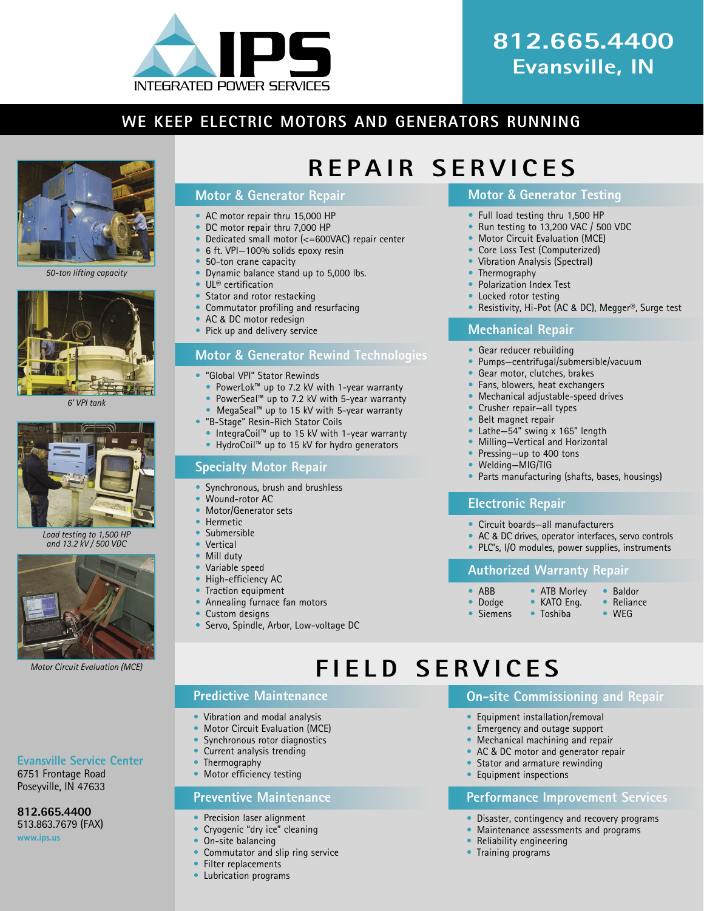

# **812.665.4400 Evansville, IN**

## **WE KEEP ELECTRIC MOTORS AND GENERATORS RUNNING**



*50-ton lifting capacity*



*6' VPI tank*



*Load testing to 1,500 HP and 13.2 kV / 500 VDC*



*Motor Circuit Evaluation (MCE)*

#### **Evansville Service Center** 6751 Frontage Road

Poseyville, IN 47633

**812.665.4400** 513.863.7679 (FAX)

**www.ips.us**

# **Motor** & **Generator Repair**

- AC motor repair thru 15,000 HP
- DC motor repair thru 7,000 HP
- Dedicated small motor (<=600VAC) repair center
- 6 ft. VPI-100% solids epoxy resin
- 50-ton crane capacity
	- Dynamic balance stand up to 5,000 lbs.
	- UL<sup>®</sup> certification
	- Stator and rotor restacking
	- Commutator profiling and resurfacing
	- AC & DC motor redesign
	- Pick up and delivery service

## **Motor** & **Generator Rewind Technologies**

- "Global VPI" Stator Rewinds
	- PowerLok™ up to 7.2 kV with 1-year warranty
	- PowerSeal™ up to 7.2 kV with 5-year warranty
	- MegaSeal™ up to 15 kV with 5-year warranty
- "B-Stage" Resin-Rich Stator Coils
	- IntegraCoil™ up to 15 kV with 1-year warranty
	- HydroCoil™ up to 15 kV for hydro generators

### **Specialty Motor Repair**

- Synchronous, brush and brushless
- Wound-rotor AC
- Motor/Generator sets
- Hermetic
- Submersible
- **Vertical**
- Mill duty
- Variable speed
- High-efficiency AC
- Traction equipment
- Annealing furnace fan motors
- Custom designs
- Servo, Spindle, Arbor, Low-voltage DC

### **Motor** & **Generator Testing**

- Full load testing thru 1,500 HP
- Run testing to 13,200 VAC / 500 VDC
- Motor Circuit Evaluation (MCE)
- Core Loss Test (Computerized)
- Vibration Analysis (Spectral)
- **Thermography**

**REPAIR SERVICES**

- Polarization Index Test
- Locked rotor testing
- Resistivity, Hi-Pot (AC & DC), Megger®, Surge test

#### **Mechanical Repair**

- Gear reducer rebuilding
- Pumps—centrifugal/submersible/vacuum
- Gear motor, clutches, brakes
- Fans, blowers, heat exchangers
- Mechanical adjustable-speed drives
- Crusher repair—all types
- Belt magnet repair
- Lathe $-54$ " swing x 165" length
- Milling—Vertical and Horizontal
- Pressing-up to 400 tons
- Welding—MIG/TIG
- Parts manufacturing (shafts, bases, housings)

### **Electronic Repair**

- Circuit boards—all manufacturers
- AC & DC drives, operator interfaces, servo controls
- PLC's, I/O modules, power supplies, instruments

### **Authorized Warranty Repair**

- 
- ABB ATB Morley Baldor<br>• Dodge KATO Eng. Reliance

**On-site Commissioning and Repair**

**Performance Improvement Services** • Disaster, contingency and recovery programs • Maintenance assessments and programs

• Equipment installation/removal • Emergency and outage support • Mechanical machining and repair AC & DC motor and generator repair Stator and armature rewinding • Equipment inspections

• Reliability engineering • Training programs

- Dodge KATO Eng. Relian<br>• Siemens Toshiba WEG  $\bullet$  Siemens
- -
- 
- 
- 
- 

# **FIELD SERVICES**

## **Predictive Maintenance**

- Vibration and modal analysis
- Motor Circuit Evaluation (MCE)
- Synchronous rotor diagnostics
- Current analysis trending
- **Thermography**
- Motor efficiency testing

### **Preventive Maintenance**

- Precision laser alignment
- Cryogenic "dry ice" cleaning
- On-site balancing

• Lubrication programs

- Commutator and slip ring service
- Filter replacements